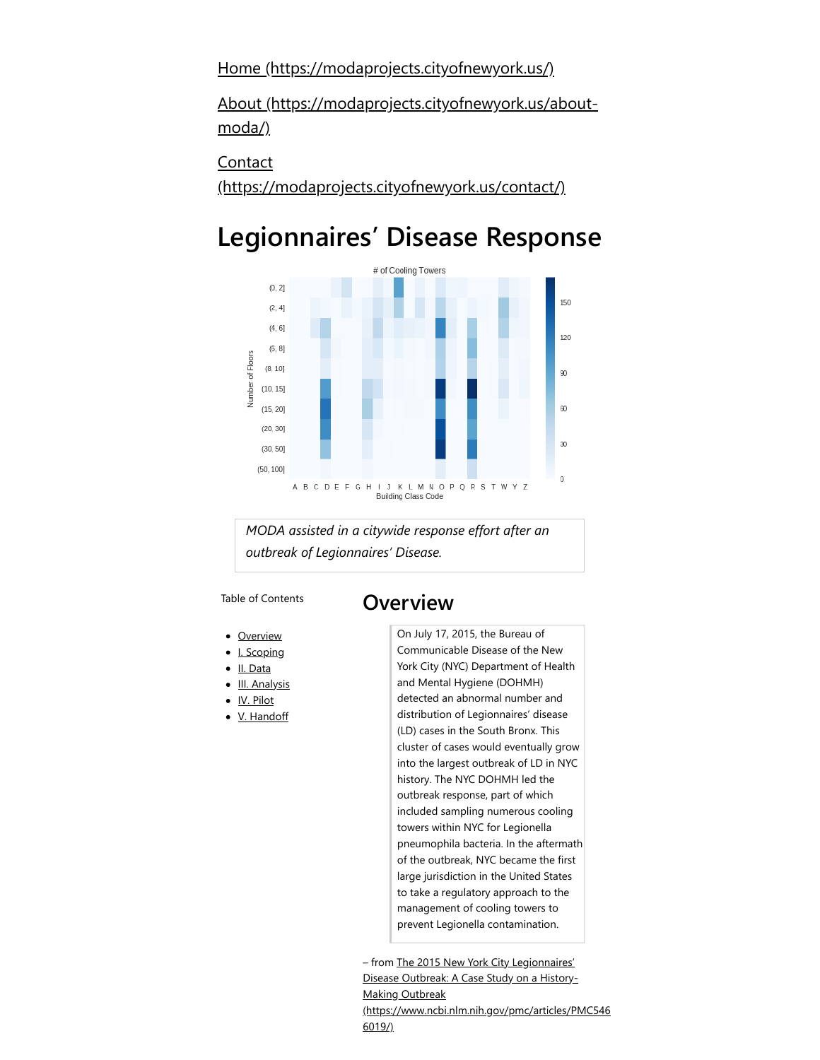[Home \(https://modaprojects.cityofnewyork.us/\)](https://modaprojects.cityofnewyork.us/)

[About \(https://modaprojects.cityofnewyork.us/about](https://modaprojects.cityofnewyork.us/about-moda/)moda/)

Contact

[\(https://modaprojects.cityofnewyork.us/contact/\)](https://modaprojects.cityofnewyork.us/contact/)

# **Legionnaires' Disease Response**



*MODA assisted in a citywide response effort after an outbreak of Legionnaires' Disease.*

Table of Contents

### <span id="page-0-0"></span>**Overview**

- [Overview](#page-0-0)
- [I. Scoping](#page-1-0)
- [II. Data](#page-1-1)
- [III. Analysis](#page-2-0)
- [IV. Pilot](#page-3-0)
- [V. Handoff](#page-3-1)

On July 17, 2015, the Bureau of Communicable Disease of the New York City (NYC) Department of Health and Mental Hygiene (DOHMH) detected an abnormal number and distribution of Legionnaires' disease (LD) cases in the South Bronx. This cluster of cases would eventually grow into the largest outbreak of LD in NYC history. The NYC DOHMH led the outbreak response, part of which included sampling numerous cooling towers within NYC for Legionella pneumophila bacteria. In the aftermath of the outbreak, NYC became the first large jurisdiction in the United States to take a regulatory approach to the management of cooling towers to prevent Legionella contamination.

– from The 2015 New York City Legionnaires' Disease Outbreak: A Case Study on a History-Making Outbreak [\(https://www.ncbi.nlm.nih.gov/pmc/articles/PMC546](https://www.ncbi.nlm.nih.gov/pmc/articles/PMC5466019/) 6019/)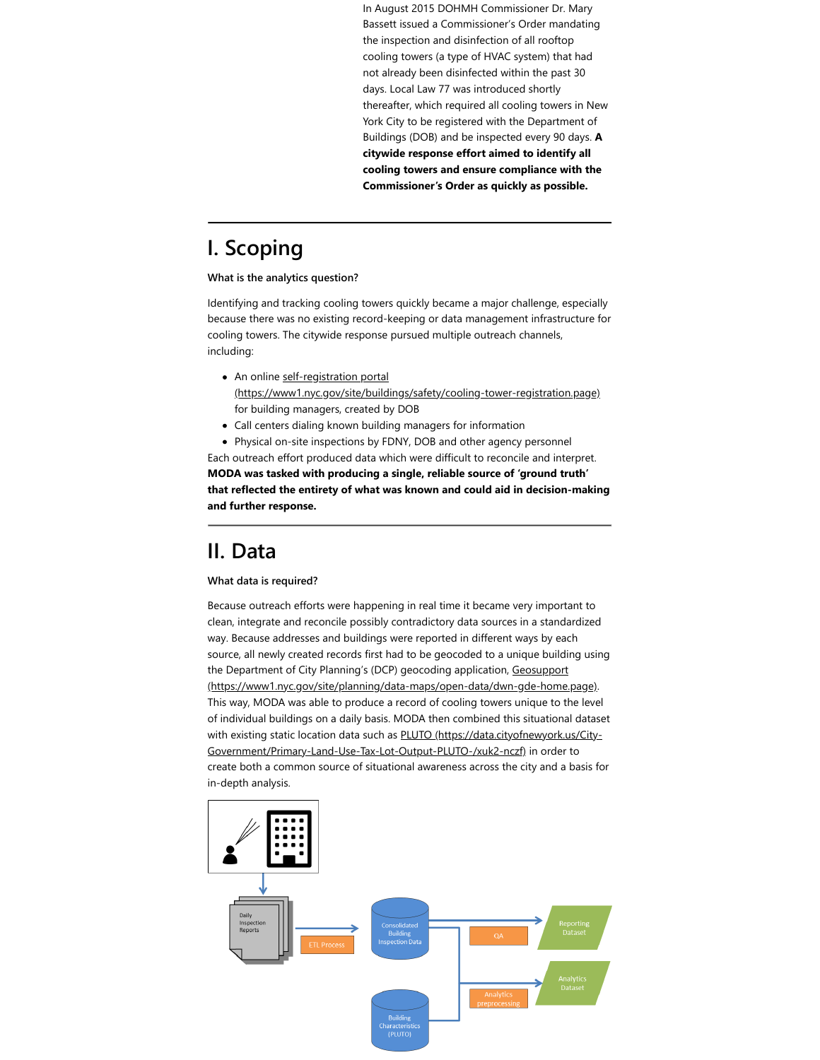In August 2015 DOHMH Commissioner Dr. Mary Bassett issued a Commissioner's Order mandating the inspection and disinfection of all rooftop cooling towers (a type of HVAC system) that had not already been disinfected within the past 30 days. Local Law 77 was introduced shortly thereafter, which required all cooling towers in New York City to be registered with the Department of Buildings (DOB) and be inspected every 90 days. **A citywide response effort aimed to identify all cooling towers and ensure compliance with the Commissioner's Order as quickly as possible.**

## <span id="page-1-0"></span>**I. Scoping**

#### **What is the analytics question?**

Identifying and tracking cooling towers quickly became a major challenge, especially because there was no existing record-keeping or data management infrastructure for cooling towers. The citywide response pursued multiple outreach channels, including:

- An online self-registration portal [\(https://www1.nyc.gov/site/buildings/safety/cooling-tower-registration.page\)](https://www1.nyc.gov/site/buildings/safety/cooling-tower-registration.page) for building managers, created by DOB
- Call centers dialing known building managers for information
- Physical on-site inspections by FDNY, DOB and other agency personnel

Each outreach effort produced data which were difficult to reconcile and interpret. **MODA was tasked with producing a single, reliable source of 'ground truth' that reflected the entirety of what was known and could aid in decision-making and further response.**

### <span id="page-1-1"></span>**II. Data**

#### **What data is required?**

Because outreach efforts were happening in real time it became very important to clean, integrate and reconcile possibly contradictory data sources in a standardized way. Because addresses and buildings were reported in different ways by each source, all newly created records first had to be geocoded to a unique building using the Department of City Planning's (DCP) geocoding application, Geosupport [\(https://www1.nyc.gov/site/planning/data-maps/open-data/dwn-gde-home.page\)](https://www1.nyc.gov/site/planning/data-maps/open-data/dwn-gde-home.page). This way, MODA was able to produce a record of cooling towers unique to the level of individual buildings on a daily basis. MODA then combined this situational dataset [with existing static location data such as PLUTO \(https://data.cityofnewyork.us/City-](https://data.cityofnewyork.us/City-Government/Primary-Land-Use-Tax-Lot-Output-PLUTO-/xuk2-nczf)Government/Primary-Land-Use-Tax-Lot-Output-PLUTO-/xuk2-nczf) in order to create both a common source of situational awareness across the city and a basis for in-depth analysis.

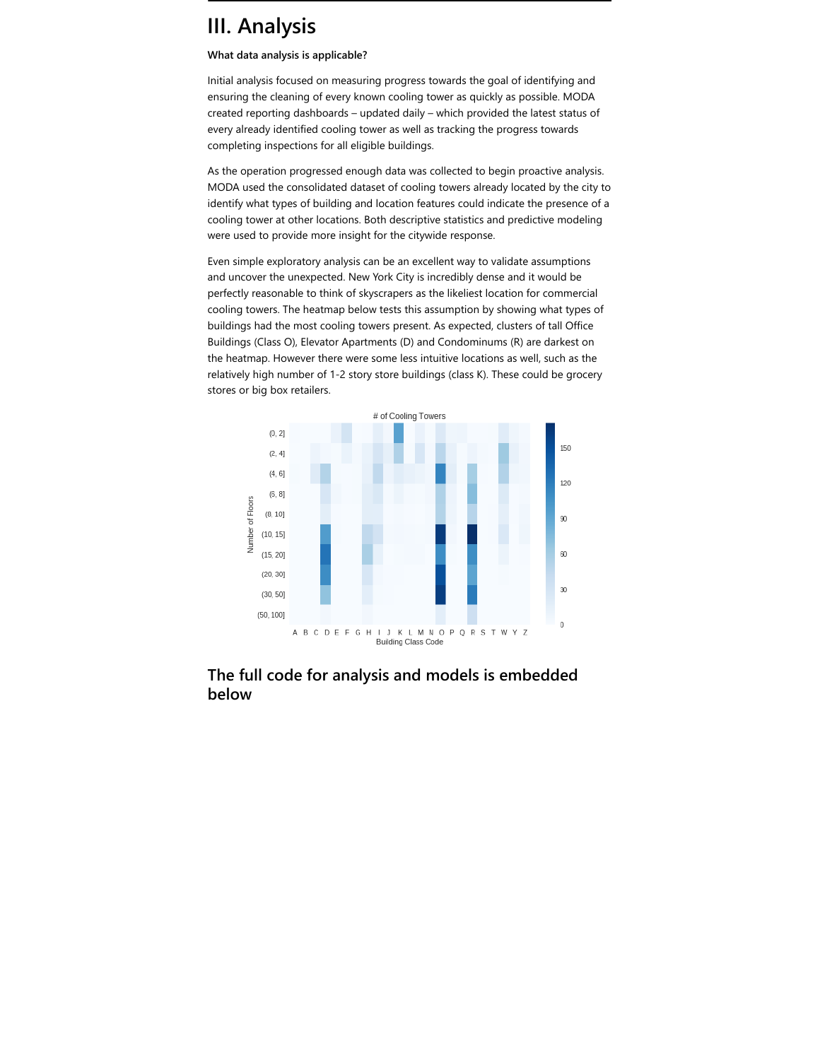### <span id="page-2-0"></span>**III. Analysis**

#### **What data analysis is applicable?**

Initial analysis focused on measuring progress towards the goal of identifying and ensuring the cleaning of every known cooling tower as quickly as possible. MODA created reporting dashboards – updated daily – which provided the latest status of every already identified cooling tower as well as tracking the progress towards completing inspections for all eligible buildings.

As the operation progressed enough data was collected to begin proactive analysis. MODA used the consolidated dataset of cooling towers already located by the city to identify what types of building and location features could indicate the presence of a cooling tower at other locations. Both descriptive statistics and predictive modeling were used to provide more insight for the citywide response.

Even simple exploratory analysis can be an excellent way to validate assumptions and uncover the unexpected. New York City is incredibly dense and it would be perfectly reasonable to think of skyscrapers as the likeliest location for commercial cooling towers. The heatmap below tests this assumption by showing what types of buildings had the most cooling towers present. As expected, clusters of tall Office Buildings (Class O), Elevator Apartments (D) and Condominums (R) are darkest on the heatmap. However there were some less intuitive locations as well, such as the relatively high number of 1-2 story store buildings (class K). These could be grocery stores or big box retailers.



### **The full code for analysis and models is embedded below**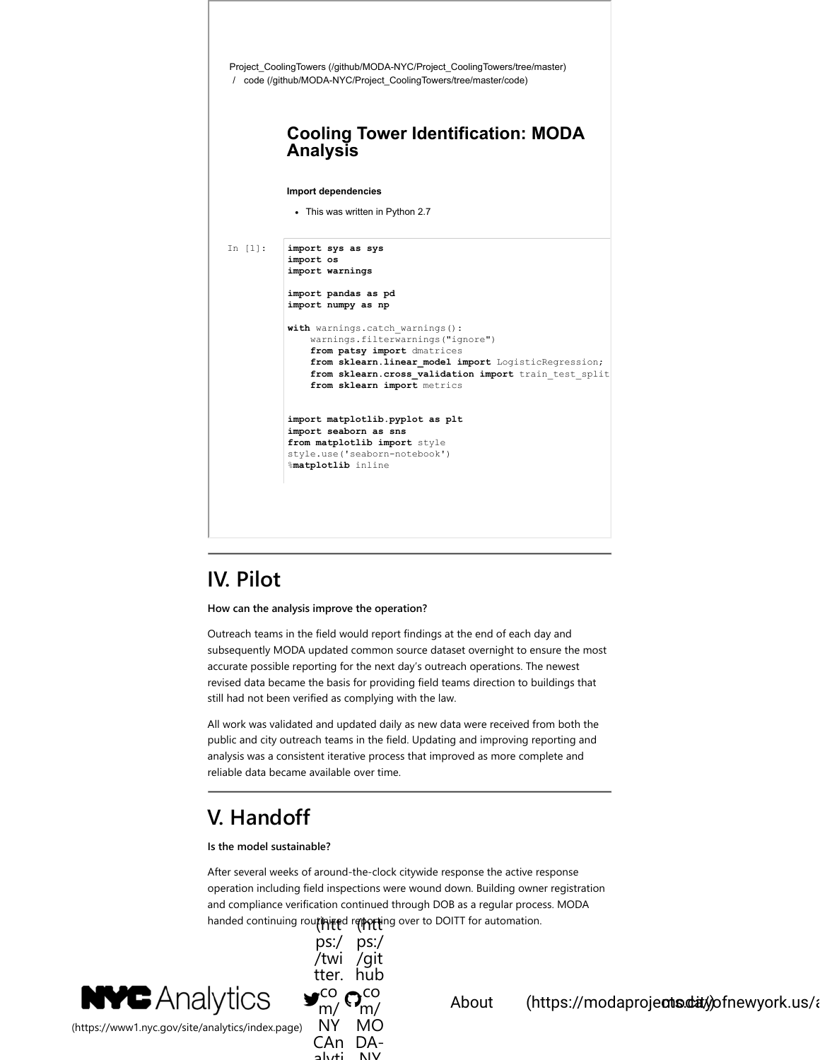

# <span id="page-3-0"></span>**IV. Pilot**

**How can the analysis improve the operation?**

Outreach teams in the field would report findings at the end of each day and subsequently MODA updated common source dataset overnight to ensure the most accurate possible reporting for the next day's outreach operations. The newest revised data became the basis for providing field teams direction to buildings that still had not been verified as complying with the law.

All work was validated and updated daily as new data were received from both the public and city outreach teams in the field. Updating and improving reporting and analysis was a consistent iterative process that improved as more complete and reliable data became available over time.

# <span id="page-3-1"></span>**V. Handoff**

#### **Is the model sustainable?**

After several weeks of around-the-clock citywide response the active response operation including field inspections were wound down. Building owner registration and compliance verification continued through DOB as a regular process. MODA handed continuing rou**rinize**d repperting over to DOITT for automation.



[\(https://www1.nyc.gov/site/analytics/index.page\)](https://www1.nyc.gov/site/analytics/index.page)



About (https://modaprojects.dity models.com/)